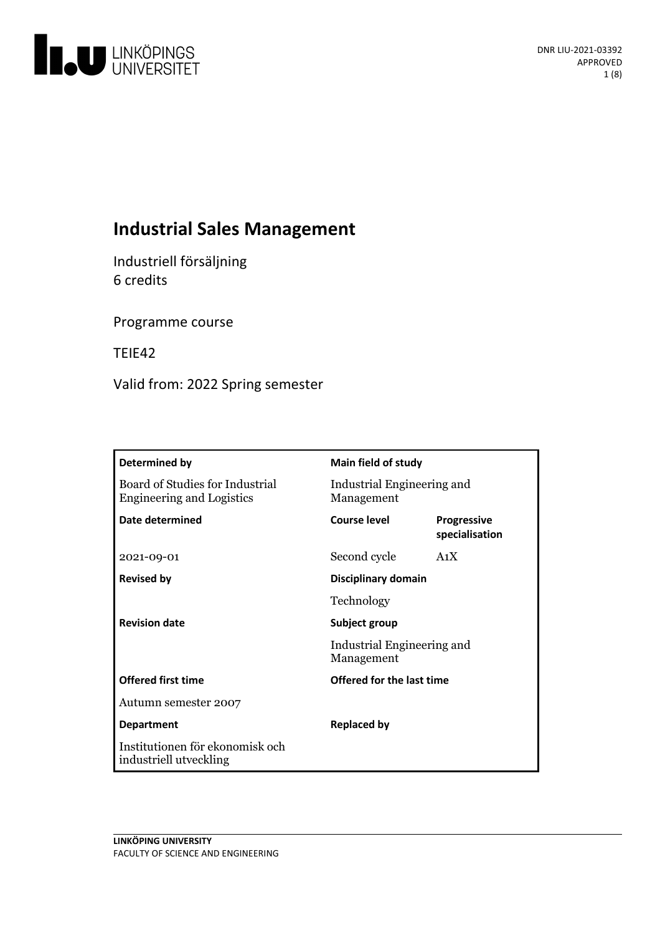

# **Industrial Sales Management**

Industriell försäljning 6 credits

Programme course

TEIE42

Valid from: 2022 Spring semester

| Determined by                                                       | Main field of study                      |                                      |
|---------------------------------------------------------------------|------------------------------------------|--------------------------------------|
| Board of Studies for Industrial<br><b>Engineering and Logistics</b> | Industrial Engineering and<br>Management |                                      |
| Date determined                                                     | Course level                             | <b>Progressive</b><br>specialisation |
| 2021-09-01                                                          | Second cycle                             | A <sub>1</sub> X                     |
| <b>Revised by</b>                                                   | Disciplinary domain                      |                                      |
|                                                                     | Technology                               |                                      |
| <b>Revision date</b>                                                | Subject group                            |                                      |
|                                                                     | Industrial Engineering and<br>Management |                                      |
| <b>Offered first time</b>                                           | Offered for the last time                |                                      |
| Autumn semester 2007                                                |                                          |                                      |
| <b>Department</b>                                                   | <b>Replaced by</b>                       |                                      |
| Institutionen för ekonomisk och<br>industriell utveckling           |                                          |                                      |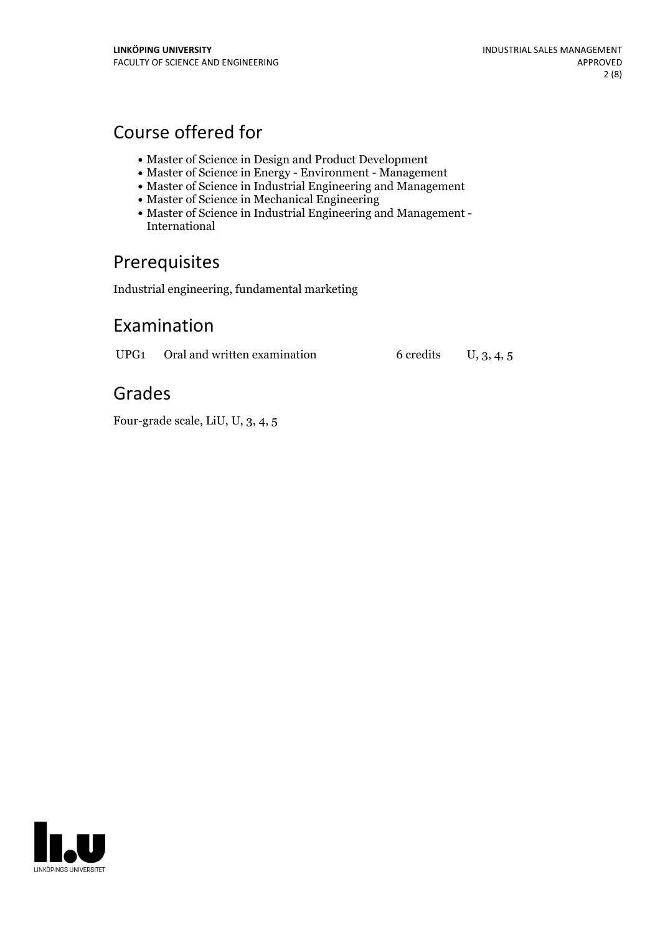# Course offered for

- Master of Science in Design and Product Development
- Master of Science in Energy Environment Management
- Master of Science in Industrial Engineering and Management
- Master of Science in Mechanical Engineering
- Master of Science in Industrial Engineering and Management International

# Prerequisites

Industrial engineering, fundamental marketing

# Examination

UPG1 Oral and written examination 6 credits U, 3, 4, 5

# Grades

Four-grade scale, LiU, U, 3, 4, 5

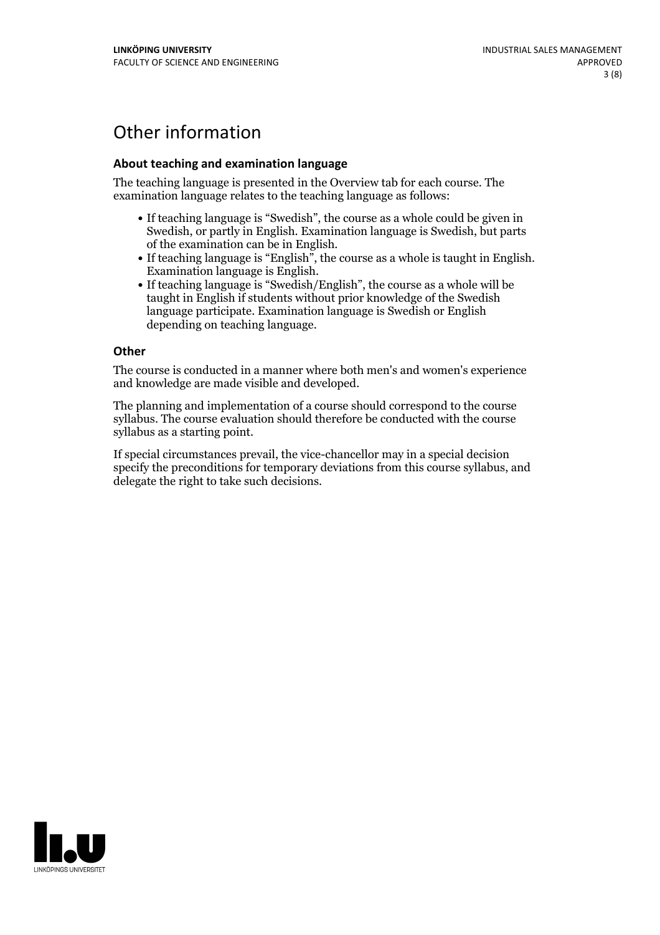# Other information

### **About teaching and examination language**

The teaching language is presented in the Overview tab for each course. The examination language relates to the teaching language as follows:

- If teaching language is "Swedish", the course as a whole could be given in Swedish, or partly in English. Examination language is Swedish, but parts
- of the examination can be in English. If teaching language is "English", the course as <sup>a</sup> whole is taught in English. Examination language is English. If teaching language is "Swedish/English", the course as <sup>a</sup> whole will be
- taught in English if students without prior knowledge of the Swedish language participate. Examination language is Swedish or English depending on teaching language.

### **Other**

The course is conducted in a manner where both men's and women's experience and knowledge are made visible and developed.

The planning and implementation of a course should correspond to the course syllabus. The course evaluation should therefore be conducted with the course syllabus as a starting point.

If special circumstances prevail, the vice-chancellor may in a special decision specify the preconditions for temporary deviations from this course syllabus, and delegate the right to take such decisions.

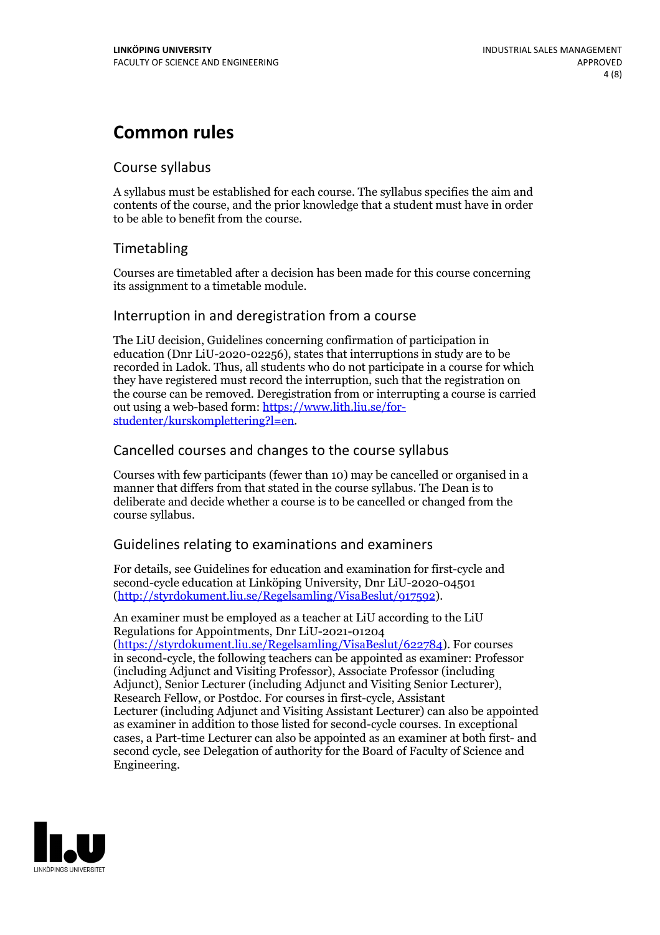# **Common rules**

## Course syllabus

A syllabus must be established for each course. The syllabus specifies the aim and contents of the course, and the prior knowledge that a student must have in order to be able to benefit from the course.

## Timetabling

Courses are timetabled after a decision has been made for this course concerning its assignment to a timetable module.

## Interruption in and deregistration from a course

The LiU decision, Guidelines concerning confirmation of participation in education (Dnr LiU-2020-02256), states that interruptions in study are to be recorded in Ladok. Thus, all students who do not participate in a course for which they have registered must record the interruption, such that the registration on the course can be removed. Deregistration from or interrupting a course is carried out using <sup>a</sup> web-based form: https://www.lith.liu.se/for- [studenter/kurskomplettering?l=en.](https://www.lith.liu.se/for-studenter/kurskomplettering?l=en)

## Cancelled courses and changes to the course syllabus

Courses with few participants (fewer than 10) may be cancelled or organised in a manner that differs from that stated in the course syllabus. The Dean is to deliberate and decide whether a course is to be cancelled or changed from the course syllabus.

## Guidelines relating to examinations and examiners

For details, see Guidelines for education and examination for first-cycle and second-cycle education at Linköping University, Dnr LiU-2020-04501 [\(http://styrdokument.liu.se/Regelsamling/VisaBeslut/917592\)](http://styrdokument.liu.se/Regelsamling/VisaBeslut/917592).

An examiner must be employed as a teacher at LiU according to the LiU Regulations for Appointments, Dnr LiU-2021-01204 [\(https://styrdokument.liu.se/Regelsamling/VisaBeslut/622784](https://styrdokument.liu.se/Regelsamling/VisaBeslut/622784)). For courses in second-cycle, the following teachers can be appointed as examiner: Professor (including Adjunct and Visiting Professor), Associate Professor (including Adjunct), Senior Lecturer (including Adjunct and Visiting Senior Lecturer), Research Fellow, or Postdoc. For courses in first-cycle, Assistant Lecturer (including Adjunct and Visiting Assistant Lecturer) can also be appointed as examiner in addition to those listed for second-cycle courses. In exceptional cases, a Part-time Lecturer can also be appointed as an examiner at both first- and second cycle, see Delegation of authority for the Board of Faculty of Science and Engineering.

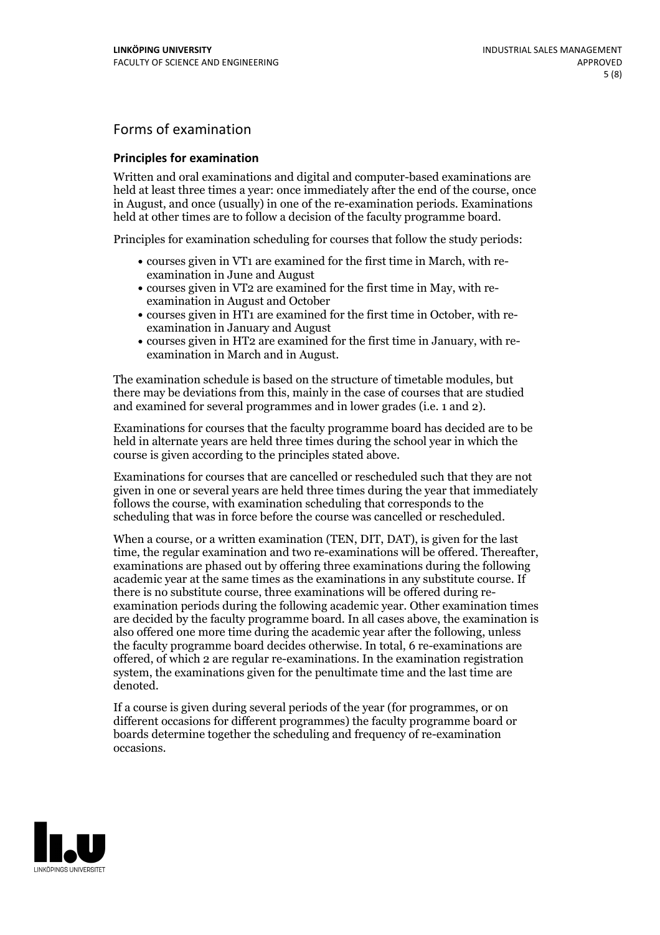## Forms of examination

### **Principles for examination**

Written and oral examinations and digital and computer-based examinations are held at least three times a year: once immediately after the end of the course, once in August, and once (usually) in one of the re-examination periods. Examinations held at other times are to follow a decision of the faculty programme board.

Principles for examination scheduling for courses that follow the study periods:

- courses given in VT1 are examined for the first time in March, with re-examination in June and August
- courses given in VT2 are examined for the first time in May, with re-examination in August and October
- courses given in HT1 are examined for the first time in October, with re-examination in January and August
- courses given in HT2 are examined for the first time in January, with re-examination in March and in August.

The examination schedule is based on the structure of timetable modules, but there may be deviations from this, mainly in the case of courses that are studied and examined for several programmes and in lower grades (i.e. 1 and 2).

Examinations for courses that the faculty programme board has decided are to be held in alternate years are held three times during the school year in which the course is given according to the principles stated above.

Examinations for courses that are cancelled orrescheduled such that they are not given in one or several years are held three times during the year that immediately follows the course, with examination scheduling that corresponds to the scheduling that was in force before the course was cancelled or rescheduled.

When a course, or a written examination (TEN, DIT, DAT), is given for the last time, the regular examination and two re-examinations will be offered. Thereafter, examinations are phased out by offering three examinations during the following academic year at the same times as the examinations in any substitute course. If there is no substitute course, three examinations will be offered during re- examination periods during the following academic year. Other examination times are decided by the faculty programme board. In all cases above, the examination is also offered one more time during the academic year after the following, unless the faculty programme board decides otherwise. In total, 6 re-examinations are offered, of which 2 are regular re-examinations. In the examination registration system, the examinations given for the penultimate time and the last time are denoted.

If a course is given during several periods of the year (for programmes, or on different occasions for different programmes) the faculty programme board or boards determine together the scheduling and frequency of re-examination occasions.

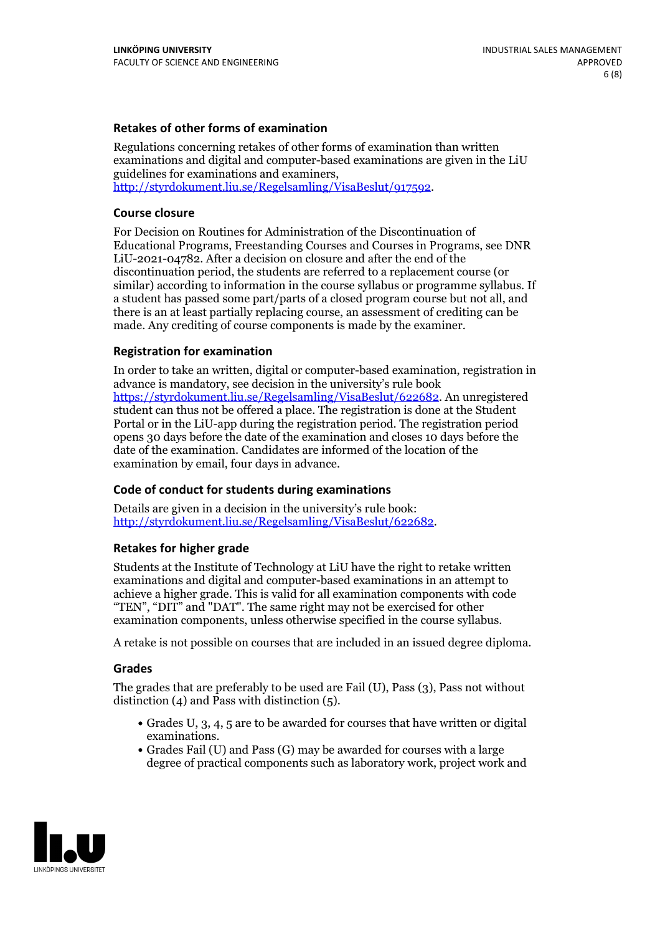### **Retakes of other forms of examination**

Regulations concerning retakes of other forms of examination than written examinations and digital and computer-based examinations are given in the LiU guidelines for examinations and examiners, [http://styrdokument.liu.se/Regelsamling/VisaBeslut/917592.](http://styrdokument.liu.se/Regelsamling/VisaBeslut/917592)

### **Course closure**

For Decision on Routines for Administration of the Discontinuation of Educational Programs, Freestanding Courses and Courses in Programs, see DNR LiU-2021-04782. After a decision on closure and after the end of the discontinuation period, the students are referred to a replacement course (or similar) according to information in the course syllabus or programme syllabus. If a student has passed some part/parts of a closed program course but not all, and there is an at least partially replacing course, an assessment of crediting can be made. Any crediting of course components is made by the examiner.

#### **Registration for examination**

In order to take an written, digital or computer-based examination, registration in advance is mandatory, see decision in the university's rule book [https://styrdokument.liu.se/Regelsamling/VisaBeslut/622682.](https://styrdokument.liu.se/Regelsamling/VisaBeslut/622682) An unregistered student can thus not be offered a place. The registration is done at the Student Portal or in the LiU-app during the registration period. The registration period opens 30 days before the date of the examination and closes 10 days before the date of the examination. Candidates are informed of the location of the examination by email, four days in advance.

### **Code of conduct for students during examinations**

Details are given in a decision in the university's rule book: <http://styrdokument.liu.se/Regelsamling/VisaBeslut/622682>.

#### **Retakes for higher grade**

Students at the Institute of Technology at LiU have the right to retake written examinations and digital and computer-based examinations in an attempt to achieve a higher grade. This is valid for all examination components with code "TEN", "DIT" and "DAT". The same right may not be exercised for other examination components, unless otherwise specified in the course syllabus.

A retake is not possible on courses that are included in an issued degree diploma.

#### **Grades**

The grades that are preferably to be used are Fail (U), Pass (3), Pass not without distinction  $(4)$  and Pass with distinction  $(5)$ .

- Grades U, 3, 4, 5 are to be awarded for courses that have written or digital examinations.<br>• Grades Fail (U) and Pass (G) may be awarded for courses with a large
- degree of practical components such as laboratory work, project work and

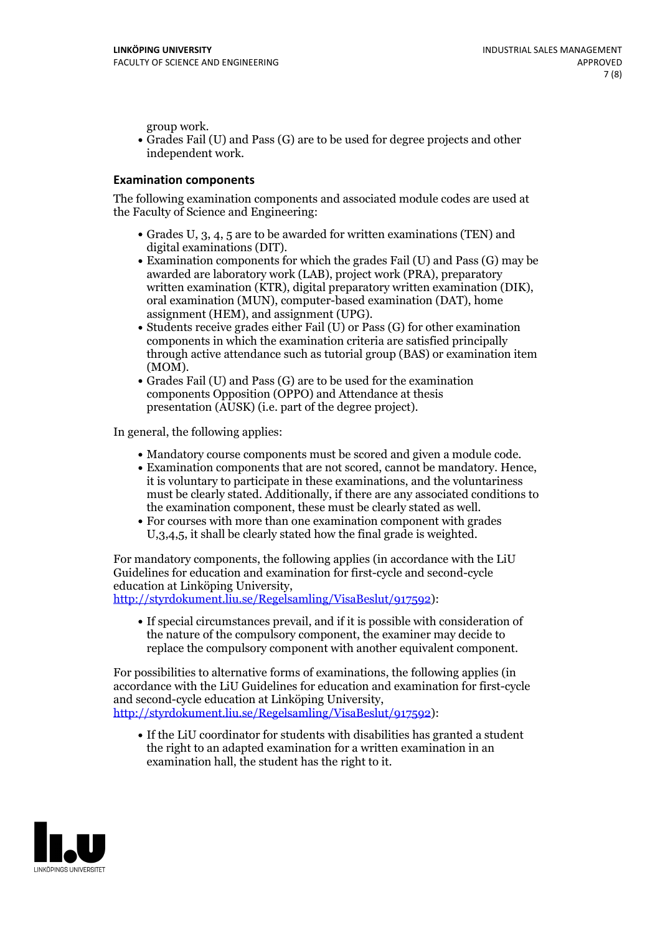group work.<br>• Grades Fail (U) and Pass (G) are to be used for degree projects and other independent work.

### **Examination components**

The following examination components and associated module codes are used at the Faculty of Science and Engineering:

- Grades U, 3, 4, 5 are to be awarded for written examinations (TEN) and
- digital examinations (DIT).<br>• Examination components for which the grades Fail (U) and Pass (G) may be awarded are laboratory work (LAB), project work (PRA), preparatory written examination (KTR), digital preparatory written examination (DIK), oral examination (MUN), computer-based examination (DAT), home
- assignment (HEM), and assignment (UPG).<br>• Students receive grades either Fail (U) or Pass (G) for other examination components in which the examination criteria are satisfied principally through active attendance such as tutorial group (BAS) or examination item
- (MOM).<br>• Grades Fail (U) and Pass (G) are to be used for the examination components Opposition (OPPO) and Attendance at thesis presentation (AUSK) (i.e. part of the degree project).

In general, the following applies:

- 
- Mandatory course components must be scored and given <sup>a</sup> module code. Examination components that are not scored, cannot be mandatory. Hence, it is voluntary to participate in these examinations, and the voluntariness must be clearly stated. Additionally, if there are any associated conditions to
- the examination component, these must be clearly stated as well.<br>• For courses with more than one examination component with grades U,3,4,5, it shall be clearly stated how the final grade is weighted.

For mandatory components, the following applies (in accordance with the LiU Guidelines for education and examination for first-cycle and second-cycle education at Linköping University,<br>[http://styrdokument.liu.se/Regelsamling/VisaBeslut/917592\)](http://styrdokument.liu.se/Regelsamling/VisaBeslut/917592):

If special circumstances prevail, and if it is possible with consideration of the nature of the compulsory component, the examiner may decide to replace the compulsory component with another equivalent component.

For possibilities to alternative forms of examinations, the following applies (in accordance with the LiU Guidelines for education and examination for first-cycle [http://styrdokument.liu.se/Regelsamling/VisaBeslut/917592\)](http://styrdokument.liu.se/Regelsamling/VisaBeslut/917592):

If the LiU coordinator for students with disabilities has granted a student the right to an adapted examination for a written examination in an examination hall, the student has the right to it.